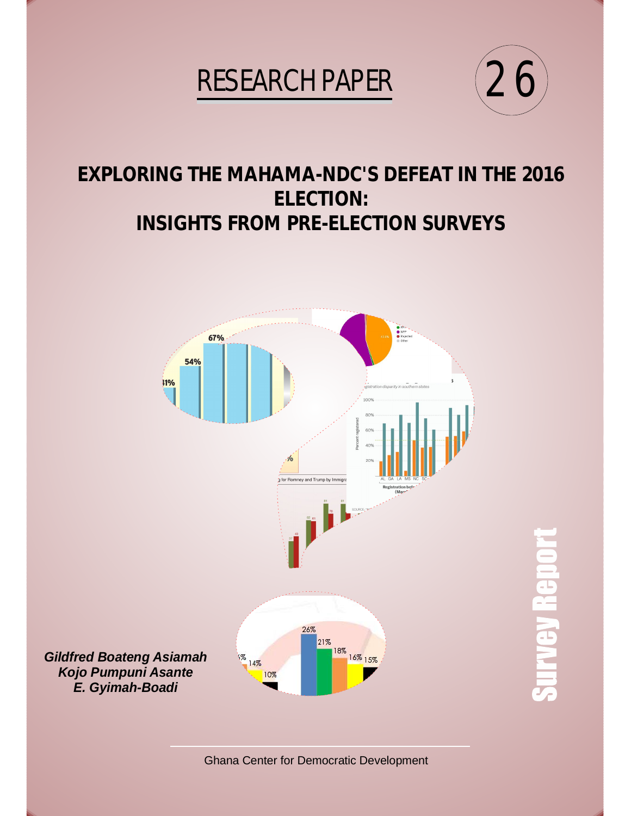# **RESEARCH PAPER**



**Survey Rep** 

# **EXPLORING THE MAHAMA-NDC'S DEFEAT IN THE 2016 ELECTION: INSIGHTS FROM PRE-ELECTION SURVEYS**



Ghana Center for Democratic Development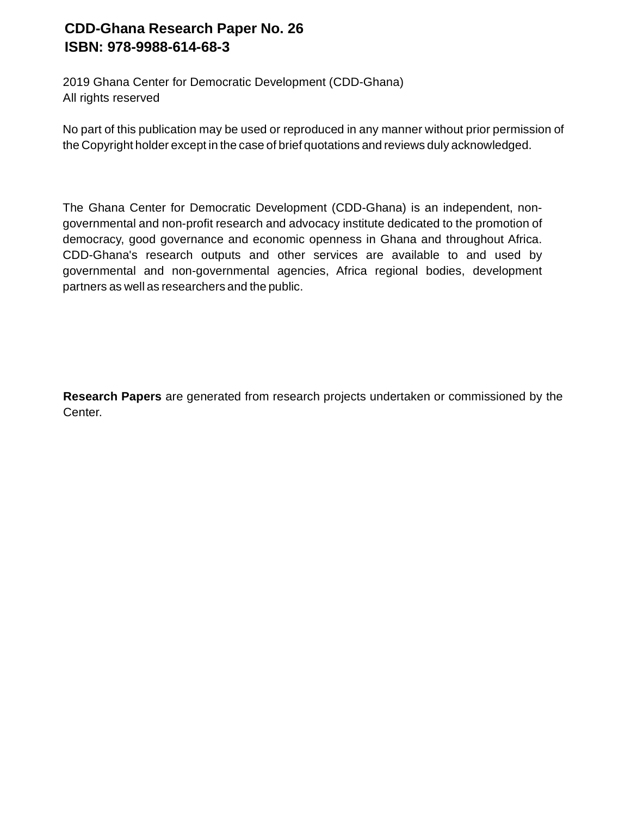# **CDD-Ghana Research Paper No. 26 ISBN: 978-9988-614-68-3**

2019 Ghana Center for Democratic Development (CDD-Ghana) All rights reserved

No part of this publication may be used or reproduced in any manner without prior permission of the Copyright holder except in the case of brief quotations and reviews duly acknowledged.

The Ghana Center for Democratic Development (CDD-Ghana) is an independent, nongovernmental and non-profit research and advocacy institute dedicated to the promotion of democracy, good governance and economic openness in Ghana and throughout Africa. CDD-Ghana's research outputs and other services are available to and used by governmental and non-governmental agencies, Africa regional bodies, development partners as well as researchers and the public.

**Research Papers** are generated from research projects undertaken or commissioned by the Center.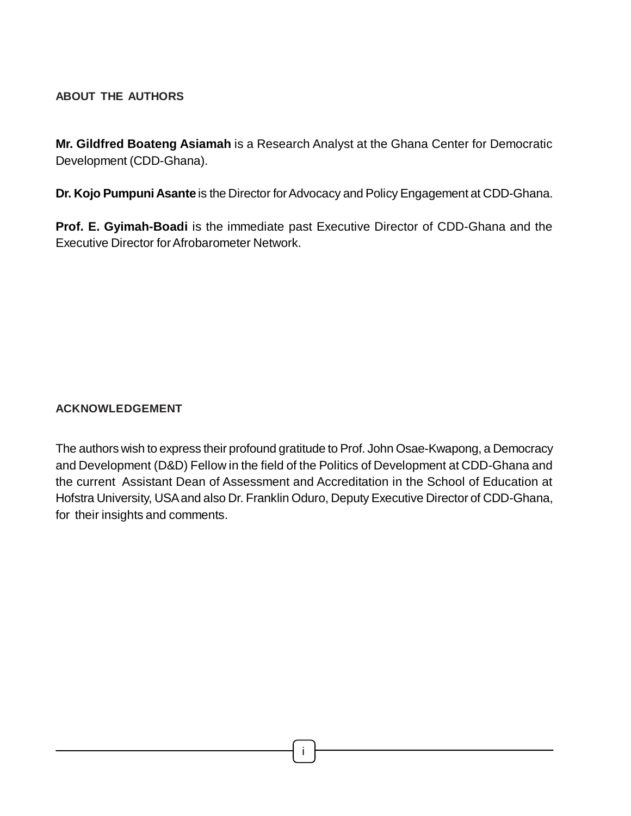# **ABOUT THE AUTHORS**

**Mr. Gildfred Boateng Asiamah** is a Research Analyst at the Ghana Center for Democratic Development (CDD-Ghana).

**Dr. Kojo Pumpuni Asante** is the Director for Advocacy and Policy Engagement at CDD-Ghana.

**Prof. E. Gyimah-Boadi** is the immediate past Executive Director of CDD-Ghana and the Executive Director for Afrobarometer Network.

# **ACKNOWLEDGEMENT**

The authors wish to express their profound gratitude to Prof. John Osae-Kwapong, a Democracy and Development (D&D) Fellow in the field of the Politics of Development at CDD-Ghana and the current Assistant Dean of Assessment and Accreditation in the School of Education at Hofstra University, USA and also Dr. Franklin Oduro, Deputy Executive Director of CDD-Ghana, for their insights and comments.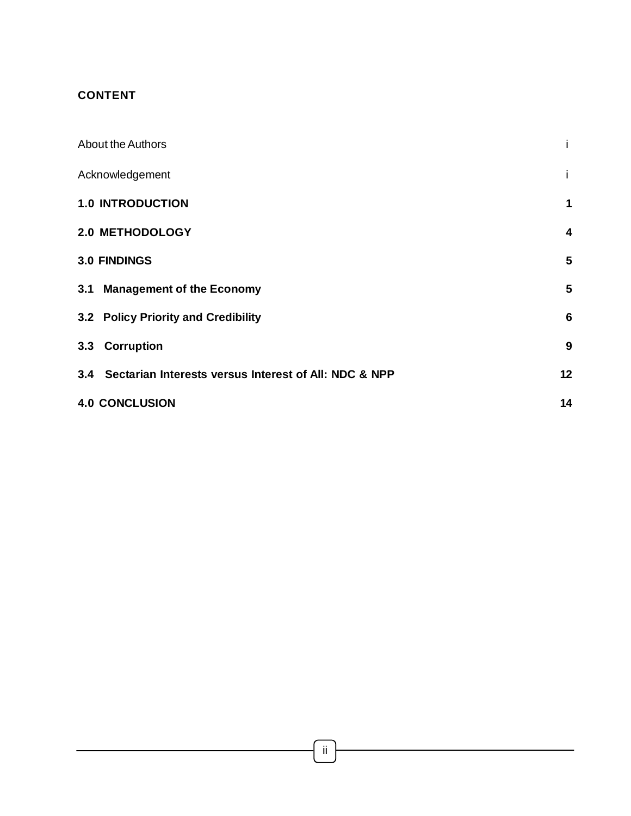### **CONTENT**

| <b>About the Authors</b>                                  |                         |
|-----------------------------------------------------------|-------------------------|
| Acknowledgement                                           | Ť                       |
| <b>1.0 INTRODUCTION</b>                                   | 1                       |
| <b>2.0 METHODOLOGY</b>                                    | $\overline{\mathbf{4}}$ |
| <b>3.0 FINDINGS</b>                                       | 5                       |
| 3.1 Management of the Economy                             | 5                       |
| 3.2 Policy Priority and Credibility                       | $6\phantom{1}6$         |
| 3.3 Corruption                                            | 9                       |
| 3.4 Sectarian Interests versus Interest of All: NDC & NPP | 12                      |
| <b>4.0 CONCLUSION</b>                                     | 14                      |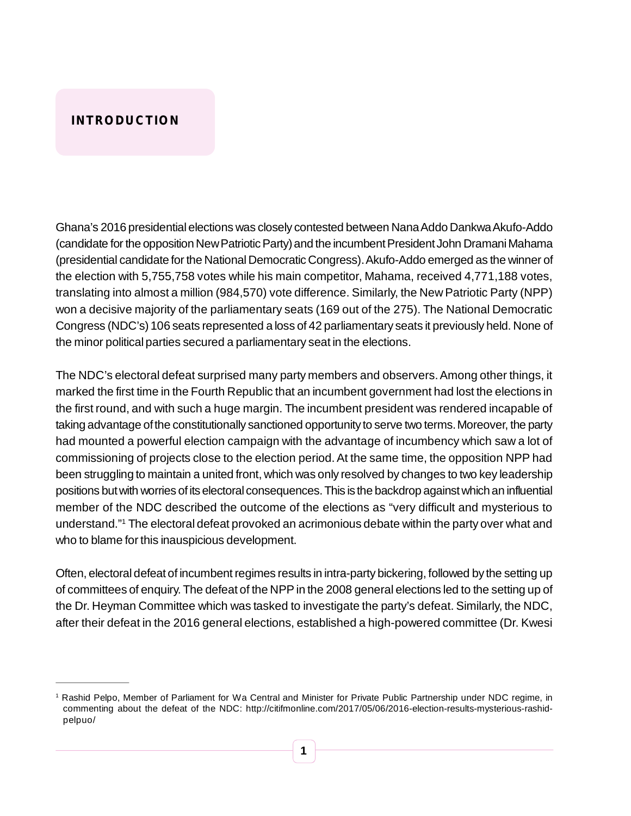# **INTRODUCTION**

Ghana's 2016 presidential elections was closely contested between Nana Addo Dankwa Akufo-Addo (candidate for the opposition New Patriotic Party) and the incumbent President John Dramani Mahama (presidential candidate for the National Democratic Congress). Akufo-Addo emerged as the winner of the election with 5,755,758 votes while his main competitor, Mahama, received 4,771,188 votes, translating into almost a million (984,570) vote difference. Similarly, the New Patriotic Party (NPP) won a decisive majority of the parliamentary seats (169 out of the 275). The National Democratic Congress (NDC's) 106 seats represented a loss of 42 parliamentary seats it previously held. None of the minor political parties secured a parliamentary seat in the elections.

The NDC's electoral defeat surprised many party members and observers. Among other things, it marked the first time in the Fourth Republic that an incumbent government had lost the elections in the first round, and with such a huge margin. The incumbent president was rendered incapable of taking advantage of the constitutionally sanctioned opportunity to serve two terms. Moreover, the party had mounted a powerful election campaign with the advantage of incumbency which saw a lot of commissioning of projects close to the election period. At the same time, the opposition NPP had been struggling to maintain a united front, which was only resolved by changes to two key leadership positions but with worries of its electoral consequences. This is the backdrop against which an influential member of the NDC described the outcome of the elections as "very difficult and mysterious to understand."<sup>1</sup> The electoral defeat provoked an acrimonious debate within the party over what and who to blame for this inauspicious development.

Often, electoral defeat of incumbent regimes results in intra-party bickering, followed by the setting up of committees of enquiry. The defeat of the NPP in the 2008 general elections led to the setting up of the Dr. Heyman Committee which was tasked to investigate the party's defeat. Similarly, the NDC, after their defeat in the 2016 general elections, established a high-powered committee (Dr. Kwesi

<sup>1</sup> Rashid Pelpo, Member of Parliament for Wa Central and Minister for Private Public Partnership under NDC regime, in commenting about the defeat of the NDC: http://citifmonline.com/2017/05/06/2016-election-results-mysterious-rashidpelpuo/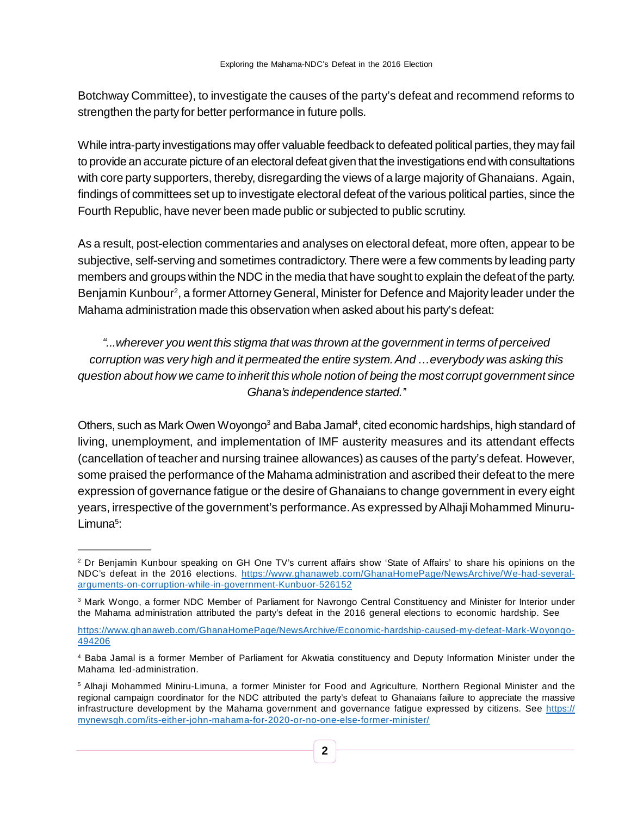Botchway Committee), to investigate the causes of the party's defeat and recommend reforms to strengthen the party for better performance in future polls.

While intra-party investigations may offer valuable feedback to defeated political parties, they may fail to provide an accurate picture of an electoral defeat given that the investigations end with consultations with core party supporters, thereby, disregarding the views of a large majority of Ghanaians. Again, findings of committees set up to investigate electoral defeat of the various political parties, since the Fourth Republic, have never been made public or subjected to public scrutiny.

As a result, post-election commentaries and analyses on electoral defeat, more often, appear to be subjective, self-serving and sometimes contradictory. There were a few comments by leading party members and groups within the NDC in the media that have sought to explain the defeat of the party. Benjamin Kunbour<sup>2</sup>, a former Attorney General, Minister for Defence and Majority leader under the Mahama administration made this observation when asked about his party's defeat:

*"...wherever you went this stigma that was thrown at the government in terms of perceived corruption was very high and it permeated the entire system. And …everybody was asking this question about how we came to inherit this whole notion of being the most corrupt government since Ghana's independence started.''*

Others, such as Mark Owen Woyongo<sup>3</sup> and Baba Jamal<sup>4</sup>, cited economic hardships, high standard of living, unemployment, and implementation of IMF austerity measures and its attendant effects (cancellation of teacher and nursing trainee allowances) as causes of the party's defeat. However, some praised the performance of the Mahama administration and ascribed their defeat to the mere expression of governance fatigue or the desire of Ghanaians to change government in every eight years, irrespective of the government's performance. As expressed by Alhaji Mohammed Minuru-Limuna<sup>5</sup>:

<sup>2</sup> Dr Benjamin Kunbour speaking on GH One TV's current affairs show 'State of Affairs' to share his opinions on the NDC's defeat in the 2016 elections. https://www.ghanaweb.com/GhanaHomePage/NewsArchive/We-had-severalarguments-on-corruption-while-in-government-Kunbuor-526152

<sup>3</sup> Mark Wongo, a former NDC Member of Parliament for Navrongo Central Constituency and Minister for Interior under the Mahama administration attributed the party's defeat in the 2016 general elections to economic hardship. See

https://www.ghanaweb.com/GhanaHomePage/NewsArchive/Economic-hardship-caused-my-defeat-Mark-Woyongo-494206

<sup>4</sup> Baba Jamal is a former Member of Parliament for Akwatia constituency and Deputy Information Minister under the Mahama led-administration.

<sup>5</sup> Alhaji Mohammed Miniru-Limuna, a former Minister for Food and Agriculture, Northern Regional Minister and the regional campaign coordinator for the NDC attributed the party's defeat to Ghanaians failure to appreciate the massive infrastructure development by the Mahama government and governance fatigue expressed by citizens. See https:// mynewsgh.com/its-either-john-mahama-for-2020-or-no-one-else-former-minister/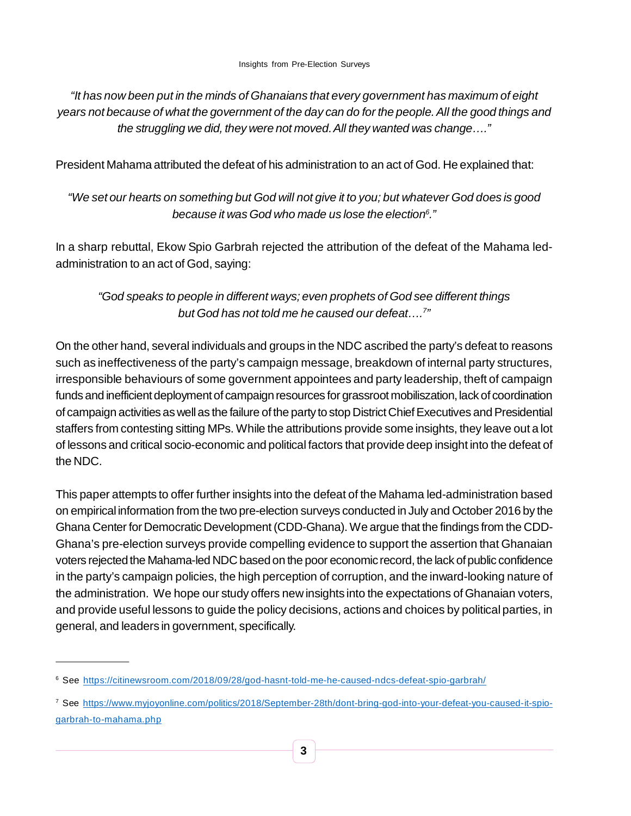*"It has now been put in the minds of Ghanaians that every government has maximum of eight years not because of what the government of the day can do for the people. All the good things and the struggling we did, they were not moved. All they wanted was change…."*

President Mahama attributed the defeat of his administration to an act of God. He explained that:

# *"We set our hearts on something but God will not give it to you; but whatever God does is good because it was God who made us lose the election<sup>6</sup> ."*

In a sharp rebuttal, Ekow Spio Garbrah rejected the attribution of the defeat of the Mahama ledadministration to an act of God, saying:

# *"God speaks to people in different ways; even prophets of God see different things but God has not told me he caused our defeat….<sup>7</sup> "*

On the other hand, several individuals and groups in the NDC ascribed the party's defeat to reasons such as ineffectiveness of the party's campaign message, breakdown of internal party structures, irresponsible behaviours of some government appointees and party leadership, theft of campaign funds and inefficient deployment of campaign resources for grassroot mobiliszation, lack of coordination of campaign activities as well as the failure of the party to stop District Chief Executives and Presidential staffers from contesting sitting MPs. While the attributions provide some insights, they leave out a lot of lessons and critical socio-economic and political factors that provide deep insight into the defeat of the NDC.

This paper attempts to offer further insights into the defeat of the Mahama led-administration based on empirical information from the two pre-election surveys conducted in July and October 2016 by the Ghana Center for Democratic Development (CDD-Ghana). We argue that the findings from the CDD-Ghana's pre-election surveys provide compelling evidence to support the assertion that Ghanaian voters rejected the Mahama-led NDC based on the poor economic record, the lack of public confidence in the party's campaign policies, the high perception of corruption, and the inward-looking nature of the administration. We hope our study offers new insights into the expectations of Ghanaian voters, and provide useful lessons to guide the policy decisions, actions and choices by political parties, in general, and leaders in government, specifically.

<sup>6</sup> See https://citinewsroom.com/2018/09/28/god-hasnt-told-me-he-caused-ndcs-defeat-spio-garbrah/

<sup>7</sup> See https://www.myjoyonline.com/politics/2018/September-28th/dont-bring-god-into-your-defeat-you-caused-it-spiogarbrah-to-mahama.php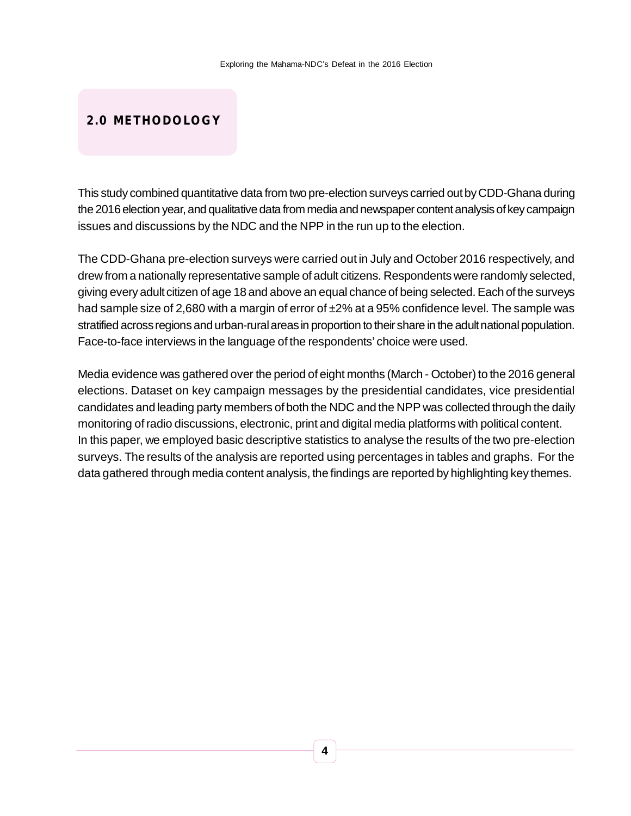# **2.0 METHODOLOGY**

This study combined quantitative data from two pre-election surveys carried out by CDD-Ghana during the 2016 election year, and qualitative data from media and newspaper content analysis of key campaign issues and discussions by the NDC and the NPP in the run up to the election.

The CDD-Ghana pre-election surveys were carried out in July and October 2016 respectively, and drew from a nationally representative sample of adult citizens. Respondents were randomly selected, giving every adult citizen of age 18 and above an equal chance of being selected. Each of the surveys had sample size of 2,680 with a margin of error of  $\pm$ 2% at a 95% confidence level. The sample was stratified across regions and urban-rural areas in proportion to their share in the adult national population. Face-to-face interviews in the language of the respondents' choice were used.

Media evidence was gathered over the period of eight months (March - October) to the 2016 general elections. Dataset on key campaign messages by the presidential candidates, vice presidential candidates and leading party members of both the NDC and the NPP was collected through the daily monitoring of radio discussions, electronic, print and digital media platforms with political content. In this paper, we employed basic descriptive statistics to analyse the results of the two pre-election surveys. The results of the analysis are reported using percentages in tables and graphs. For the data gathered through media content analysis, the findings are reported by highlighting key themes.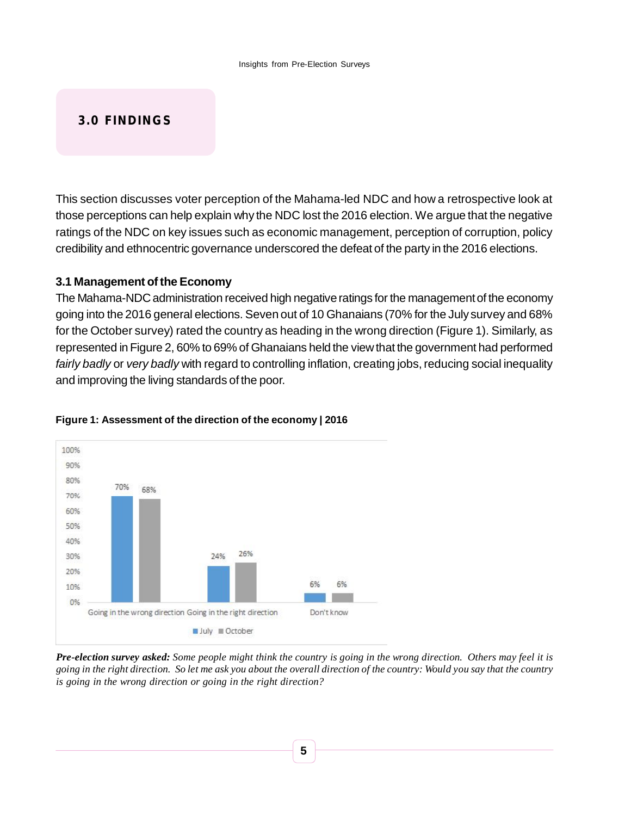# **3.0 FINDINGS**

This section discusses voter perception of the Mahama-led NDC and how a retrospective look at those perceptions can help explain why the NDC lost the 2016 election. We argue that the negative ratings of the NDC on key issues such as economic management, perception of corruption, policy credibility and ethnocentric governance underscored the defeat of the party in the 2016 elections.

#### **3.1 Management of the Economy**

The Mahama-NDC administration received high negative ratings for the management of the economy going into the 2016 general elections. Seven out of 10 Ghanaians (70% for the July survey and 68% for the October survey) rated the country as heading in the wrong direction (Figure 1). Similarly, as represented in Figure 2, 60% to 69% of Ghanaians held the view that the government had performed *fairly badly* or *very badly* with regard to controlling inflation, creating jobs, reducing social inequality and improving the living standards of the poor.



#### **Figure 1: Assessment of the direction of the economy | 2016**

*Pre-election survey asked: Some people might think the country is going in the wrong direction. Others may feel it is going in the right direction. So let me ask you about the overall direction of the country: Would you say that the country is going in the wrong direction or going in the right direction?*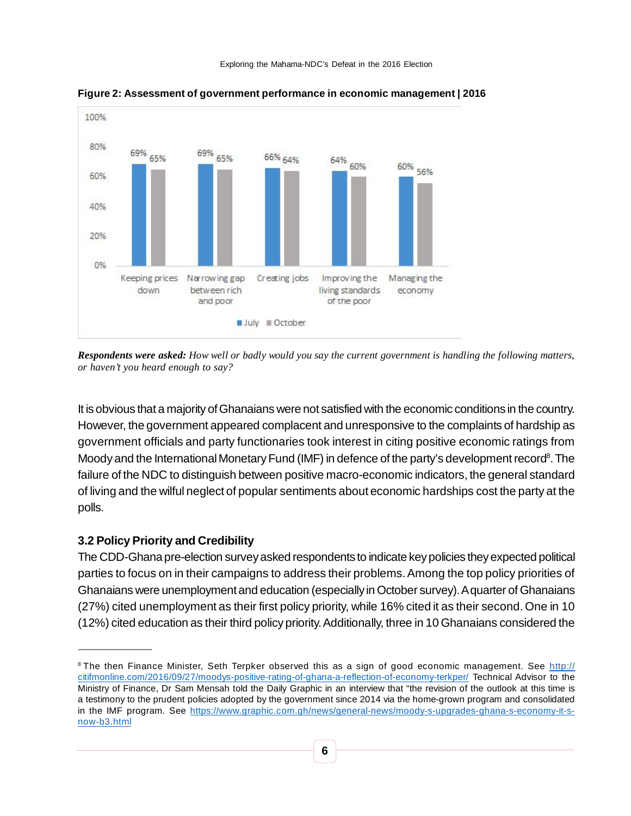

**Figure 2: Assessment of government performance in economic management | 2016**

*Respondents were asked: How well or badly would you say the current government is handling the following matters, or haven't you heard enough to say?*

It is obvious that a majority of Ghanaians were not satisfied with the economic conditions in the country. However, the government appeared complacent and unresponsive to the complaints of hardship as government officials and party functionaries took interest in citing positive economic ratings from Moody and the International Monetary Fund (IMF) in defence of the party's development record<sup>8</sup>. The failure of the NDC to distinguish between positive macro-economic indicators, the general standard of living and the wilful neglect of popular sentiments about economic hardships cost the party at the polls.

# **3.2 Policy Priority and Credibility**

The CDD-Ghana pre-election survey asked respondents to indicate key policies they expected political parties to focus on in their campaigns to address their problems. Among the top policy priorities of Ghanaians were unemployment and education (especially in October survey). A quarter of Ghanaians (27%) cited unemployment as their first policy priority, while 16% cited it as their second. One in 10 (12%) cited education as their third policy priority. Additionally, three in 10 Ghanaians considered the

<sup>&</sup>lt;sup>8</sup> The then Finance Minister, Seth Terpker observed this as a sign of good economic management. See http:// citifmonline.com/2016/09/27/moodys-positive-rating-of-ghana-a-reflection-of-economy-terkper/ Technical Advisor to the Ministry of Finance, Dr Sam Mensah told the Daily Graphic in an interview that "the revision of the outlook at this time is a testimony to the prudent policies adopted by the government since 2014 via the home-grown program and consolidated in the IMF program. See https://www.graphic.com.gh/news/general-news/moody-s-upgrades-ghana-s-economy-it-snow-b3.html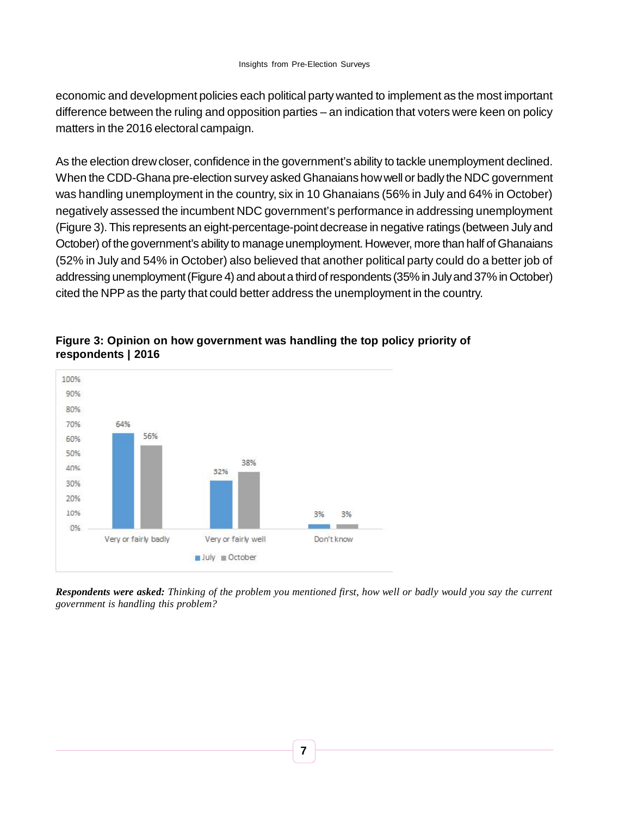economic and development policies each political party wanted to implement as the most important difference between the ruling and opposition parties – an indication that voters were keen on policy matters in the 2016 electoral campaign.

As the election drew closer, confidence in the government's ability to tackle unemployment declined. When the CDD-Ghana pre-election survey asked Ghanaians how well or badly the NDC government was handling unemployment in the country, six in 10 Ghanaians (56% in July and 64% in October) negatively assessed the incumbent NDC government's performance in addressing unemployment (Figure 3). This represents an eight-percentage-point decrease in negative ratings (between July and October) of the government's ability to manage unemployment. However, more than half of Ghanaians (52% in July and 54% in October) also believed that another political party could do a better job of addressing unemployment (Figure 4) and about a third of respondents (35% in July and 37% in October) cited the NPP as the party that could better address the unemployment in the country.



### **Figure 3: Opinion on how government was handling the top policy priority of respondents | 2016**

*Respondents were asked: Thinking of the problem you mentioned first, how well or badly would you say the current government is handling this problem?*

**7**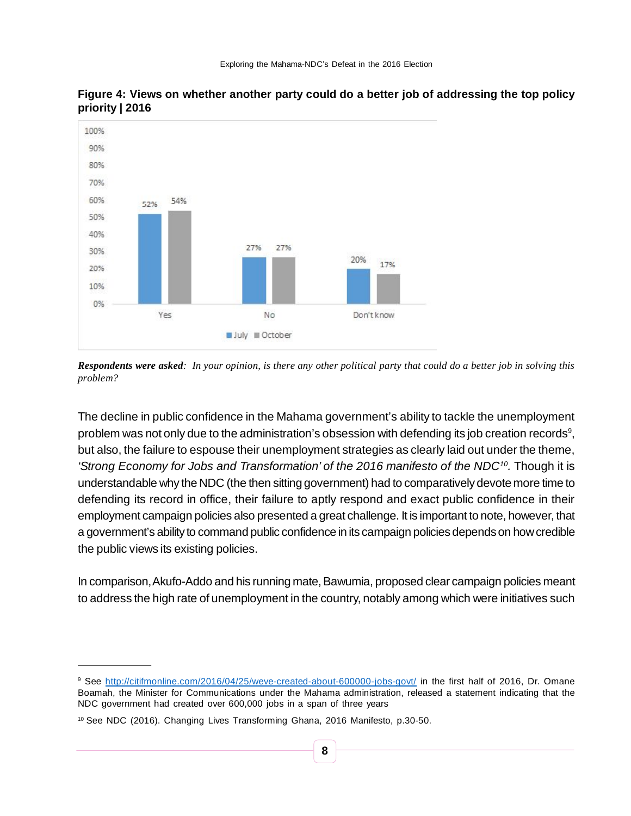

**Figure 4: Views on whether another party could do a better job of addressing the top policy priority | 2016**

The decline in public confidence in the Mahama government's ability to tackle the unemployment problem was not only due to the administration's obsession with defending its job creation records $^9$ , but also, the failure to espouse their unemployment strategies as clearly laid out under the theme, *'Strong Economy for Jobs and Transformation' of the 2016 manifesto of the NDC<sup>10</sup> .* Though it is understandable why the NDC (the then sitting government) had to comparatively devote more time to defending its record in office, their failure to aptly respond and exact public confidence in their employment campaign policies also presented a great challenge. It is important to note, however, that a government's ability to command public confidence in its campaign policies depends on how credible the public views its existing policies.

In comparison, Akufo-Addo and his running mate, Bawumia, proposed clear campaign policies meant to address the high rate of unemployment in the country, notably among which were initiatives such

*Respondents were asked: In your opinion, is there any other political party that could do a better job in solving this problem?*

<sup>&</sup>lt;sup>9</sup> See http://citifmonline.com/2016/04/25/weve-created-about-600000-jobs-govt/ in the first half of 2016, Dr. Omane Boamah, the Minister for Communications under the Mahama administration, released a statement indicating that the NDC government had created over 600,000 jobs in a span of three years

<sup>10</sup> See NDC (2016). Changing Lives Transforming Ghana, 2016 Manifesto, p.30-50.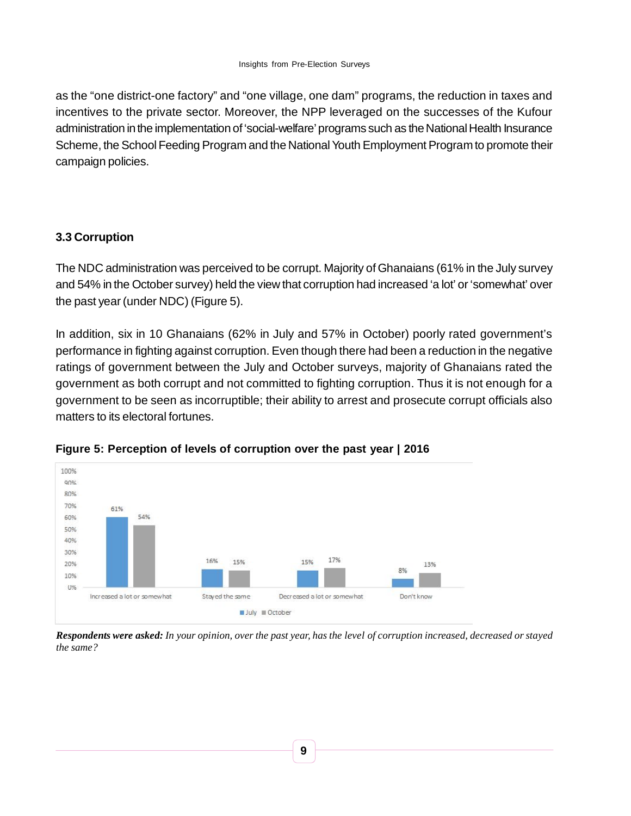as the "one district-one factory" and "one village, one dam" programs, the reduction in taxes and incentives to the private sector. Moreover, the NPP leveraged on the successes of the Kufour administration in the implementation of 'social-welfare' programs such as the National Health Insurance Scheme, the School Feeding Program and the National Youth Employment Program to promote their campaign policies.

# **3.3 Corruption**

The NDC administration was perceived to be corrupt. Majority of Ghanaians (61% in the July survey and 54% in the October survey) held the view that corruption had increased 'a lot' or 'somewhat' over the past year (under NDC) (Figure 5).

In addition, six in 10 Ghanaians (62% in July and 57% in October) poorly rated government's performance in fighting against corruption. Even though there had been a reduction in the negative ratings of government between the July and October surveys, majority of Ghanaians rated the government as both corrupt and not committed to fighting corruption. Thus it is not enough for a government to be seen as incorruptible; their ability to arrest and prosecute corrupt officials also matters to its electoral fortunes.





*Respondents were asked: In your opinion, over the past year, has the level of corruption increased, decreased or stayed the same?*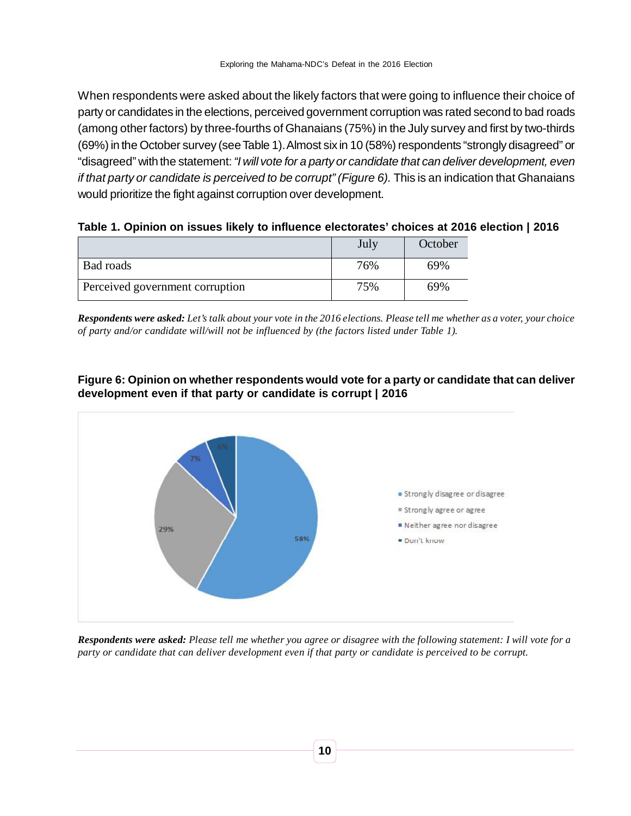When respondents were asked about the likely factors that were going to influence their choice of party or candidates in the elections, perceived government corruption was rated second to bad roads (among other factors) by three-fourths of Ghanaians (75%) in the July survey and first by two-thirds (69%) in the October survey (see Table 1). Almost six in 10 (58%) respondents "strongly disagreed" or "disagreed" with the statement: *"I will vote for a party or candidate that can deliver development, even if that party or candidate is perceived to be corrupt" (Figure 6).* This is an indication that Ghanaians would prioritize the fight against corruption over development.

|  | Table 1. Opinion on issues likely to influence electorates' choices at 2016 election   2016 |  |  |
|--|---------------------------------------------------------------------------------------------|--|--|
|  |                                                                                             |  |  |

|                                 | July | October |
|---------------------------------|------|---------|
| Bad roads                       | 76%  | 69%     |
| Perceived government corruption | 75%  | 69%     |

*Respondents were asked: Let's talk about your vote in the 2016 elections. Please tell me whether as a voter, your choice of party and/or candidate will/will not be influenced by (the factors listed under Table 1).*

#### **Figure 6: Opinion on whether respondents would vote for a party or candidate that can deliver development even if that party or candidate is corrupt | 2016**



*Respondents were asked: Please tell me whether you agree or disagree with the following statement: I will vote for a party or candidate that can deliver development even if that party or candidate is perceived to be corrupt.*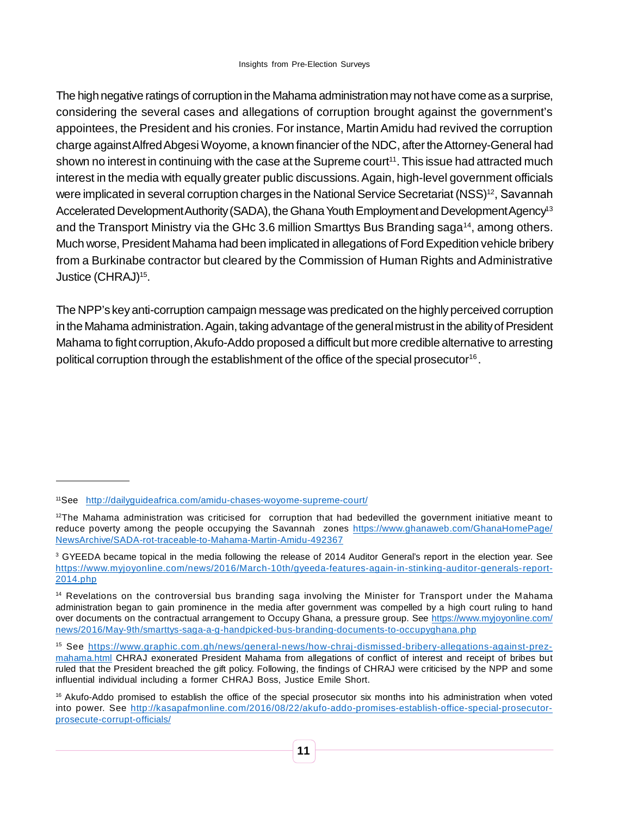The high negative ratings of corruption in the Mahama administration may not have come as a surprise, considering the several cases and allegations of corruption brought against the government's appointees, the President and his cronies. For instance, Martin Amidu had revived the corruption charge against Alfred Abgesi Woyome, a known financier of the NDC, after the Attorney-General had shown no interest in continuing with the case at the Supreme court<sup>11</sup>. This issue had attracted much interest in the media with equally greater public discussions. Again, high-level government officials were implicated in several corruption charges in the National Service Secretariat (NSS)<sup>12</sup>, Savannah Accelerated Development Authority (SADA), the Ghana Youth Employment and Development Agency<sup>13</sup> and the Transport Ministry via the GHc 3.6 million Smarttys Bus Branding saga<sup>14</sup>, among others. Much worse, President Mahama had been implicated in allegations of Ford Expedition vehicle bribery from a Burkinabe contractor but cleared by the Commission of Human Rights and Administrative Justice (CHRAJ)<sup>15</sup>.

The NPP's key anti-corruption campaign message was predicated on the highly perceived corruption in the Mahama administration. Again, taking advantage of the general mistrust in the ability of President Mahama to fight corruption, Akufo-Addo proposed a difficult but more credible alternative to arresting political corruption through the establishment of the office of the special prosecutor<sup>16</sup>.

<sup>11</sup>See http://dailyguideafrica.com/amidu-chases-woyome-supreme-court/

 $12$ The Mahama administration was criticised for corruption that had bedevilled the government initiative meant to reduce poverty among the people occupying the Savannah zones https://www.ghanaweb.com/GhanaHomePage/ NewsArchive/SADA-rot-traceable-to-Mahama-Martin-Amidu-492367

<sup>&</sup>lt;sup>3</sup> GYEEDA became topical in the media following the release of 2014 Auditor General's report in the election year. See https://www.myjoyonline.com/news/2016/March-10th/gyeeda-features-again-in-stinking-auditor-generals-report-2014.php

<sup>&</sup>lt;sup>14</sup> Revelations on the controversial bus branding saga involving the Minister for Transport under the Mahama administration began to gain prominence in the media after government was compelled by a high court ruling to hand over documents on the contractual arrangement to Occupy Ghana, a pressure group. See https://www.myjoyonline.com/ news/2016/May-9th/smarttys-saga-a-g-handpicked-bus-branding-documents-to-occupyghana.php

<sup>15</sup> See https://www.graphic.com.gh/news/general-news/how-chraj-dismissed-bribery-allegations-against-prezmahama.html CHRAJ exonerated President Mahama from allegations of conflict of interest and receipt of bribes but ruled that the President breached the gift policy. Following, the findings of CHRAJ were criticised by the NPP and some influential individual including a former CHRAJ Boss, Justice Emile Short.

<sup>&</sup>lt;sup>16</sup> Akufo-Addo promised to establish the office of the special prosecutor six months into his administration when voted into power. See http://kasapafmonline.com/2016/08/22/akufo-addo-promises-establish-office-special-prosecutorprosecute-corrupt-officials/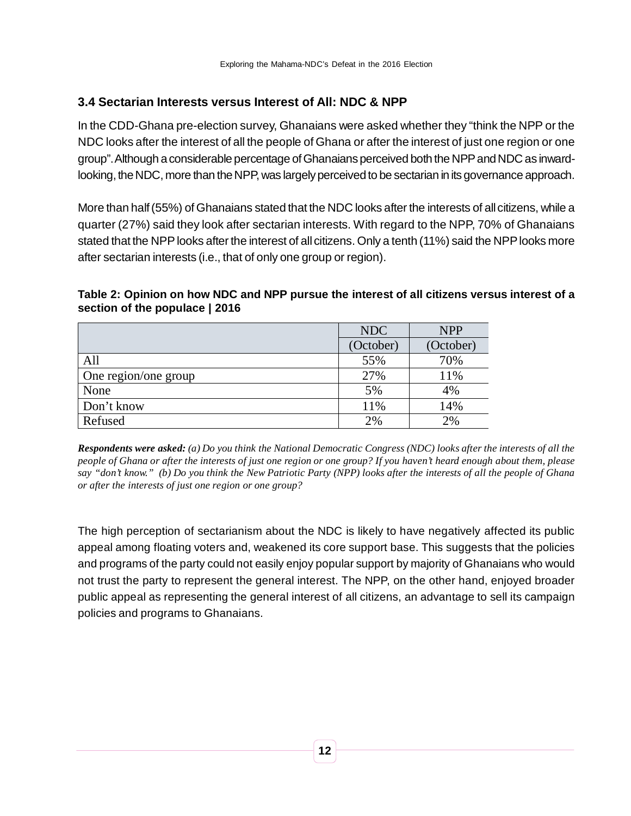# **3.4 Sectarian Interests versus Interest of All: NDC & NPP**

In the CDD-Ghana pre-election survey, Ghanaians were asked whether they "think the NPP or the NDC looks after the interest of all the people of Ghana or after the interest of just one region or one group". Although a considerable percentage of Ghanaians perceived both the NPP and NDC as inwardlooking, the NDC, more than the NPP, was largely perceived to be sectarian in its governance approach.

More than half (55%) of Ghanaians stated that the NDC looks after the interests of all citizens, while a quarter (27%) said they look after sectarian interests. With regard to the NPP, 70% of Ghanaians stated that the NPP looks after the interest of all citizens. Only a tenth (11%) said the NPP looks more after sectarian interests (i.e., that of only one group or region).

#### **Table 2: Opinion on how NDC and NPP pursue the interest of all citizens versus interest of a section of the populace | 2016**

|                      | <b>NDC</b> | <b>NPP</b> |
|----------------------|------------|------------|
|                      | (October)  | (October)  |
| All                  | 55%        | 70%        |
| One region/one group | 27%        | 11%        |
| None                 | 5%         | 4%         |
| Don't know           | 11%        | 14%        |
| Refused              | 2%         | 2%         |

*Respondents were asked: (a) Do you think the National Democratic Congress (NDC) looks after the interests of all the people of Ghana or after the interests of just one region or one group? If you haven't heard enough about them, please say "don't know." (b) Do you think the New Patriotic Party (NPP) looks after the interests of all the people of Ghana or after the interests of just one region or one group?*

The high perception of sectarianism about the NDC is likely to have negatively affected its public appeal among floating voters and, weakened its core support base. This suggests that the policies and programs of the party could not easily enjoy popular support by majority of Ghanaians who would not trust the party to represent the general interest. The NPP, on the other hand, enjoyed broader public appeal as representing the general interest of all citizens, an advantage to sell its campaign policies and programs to Ghanaians.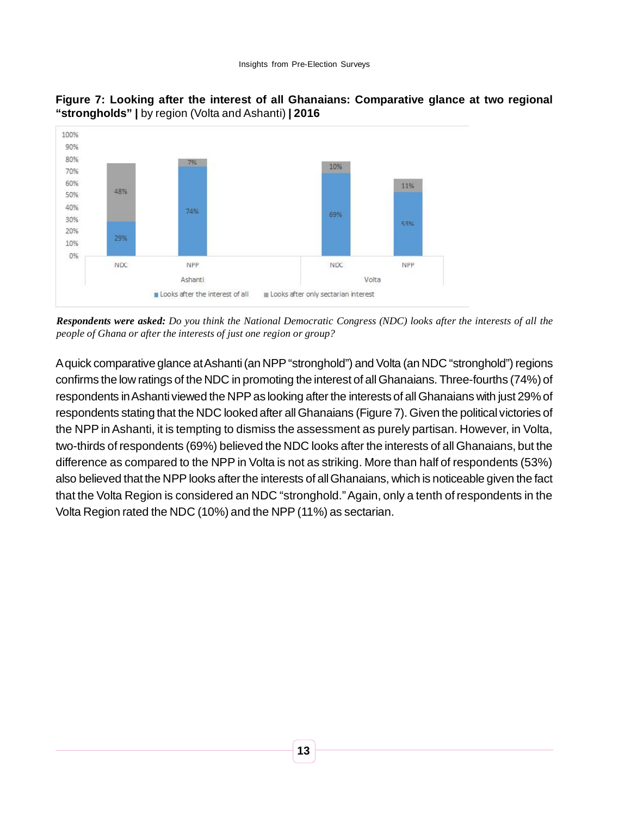



*Respondents were asked: Do you think the National Democratic Congress (NDC) looks after the interests of all the people of Ghana or after the interests of just one region or group?*

A quick comparative glance at Ashanti (an NPP "stronghold") and Volta (an NDC "stronghold") regions confirms the low ratings of the NDC in promoting the interest of all Ghanaians. Three-fourths (74%) of respondents in Ashanti viewed the NPP as looking after the interests of all Ghanaians with just 29% of respondents stating that the NDC looked after all Ghanaians (Figure 7). Given the political victories of the NPP in Ashanti, it is tempting to dismiss the assessment as purely partisan. However, in Volta, two-thirds of respondents (69%) believed the NDC looks after the interests of all Ghanaians, but the difference as compared to the NPP in Volta is not as striking. More than half of respondents (53%) also believed that the NPP looks after the interests of all Ghanaians, which is noticeable given the fact that the Volta Region is considered an NDC "stronghold." Again, only a tenth of respondents in the Volta Region rated the NDC (10%) and the NPP (11%) as sectarian.